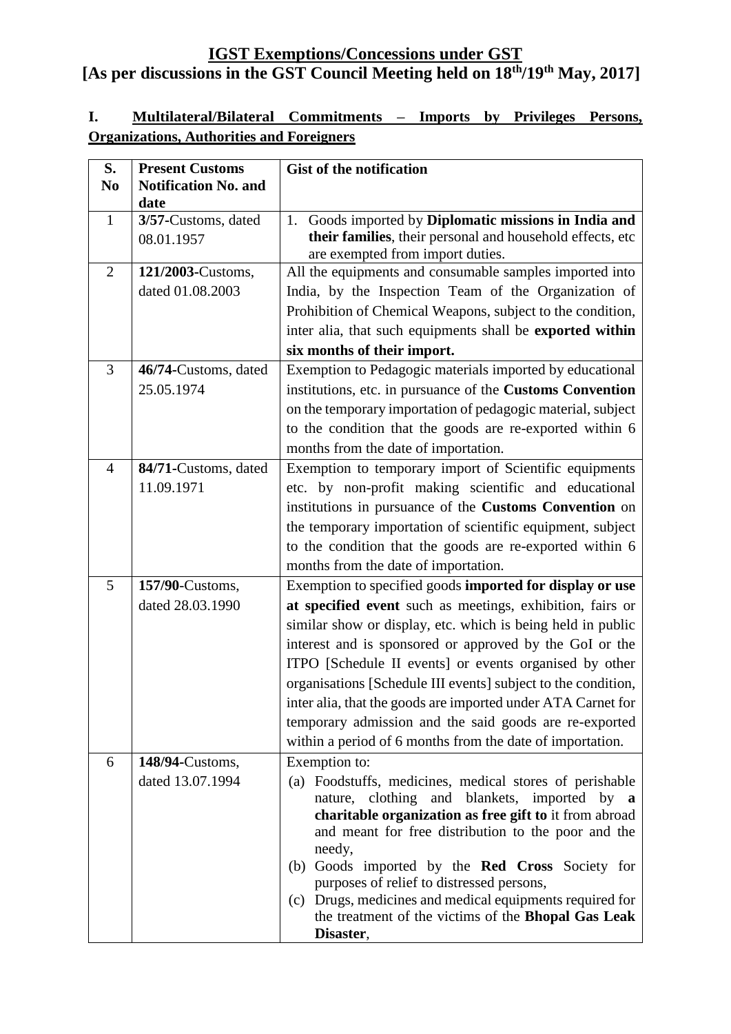## **I. Multilateral/Bilateral Commitments – Imports by Privileges Persons, Organizations, Authorities and Foreigners**

| S.             | <b>Present Customs</b>      | <b>Gist of the notification</b>                                                                                     |
|----------------|-----------------------------|---------------------------------------------------------------------------------------------------------------------|
| N <sub>0</sub> | <b>Notification No. and</b> |                                                                                                                     |
| $\mathbf{1}$   | date<br>3/57-Customs, dated | 1. Goods imported by Diplomatic missions in India and                                                               |
|                | 08.01.1957                  | their families, their personal and household effects, etc                                                           |
|                |                             | are exempted from import duties.                                                                                    |
| $\overline{2}$ | 121/2003-Customs,           | All the equipments and consumable samples imported into                                                             |
|                | dated 01.08.2003            | India, by the Inspection Team of the Organization of                                                                |
|                |                             | Prohibition of Chemical Weapons, subject to the condition,                                                          |
|                |                             | inter alia, that such equipments shall be exported within                                                           |
|                |                             | six months of their import.                                                                                         |
| 3              | 46/74-Customs, dated        | Exemption to Pedagogic materials imported by educational                                                            |
|                | 25.05.1974                  | institutions, etc. in pursuance of the Customs Convention                                                           |
|                |                             | on the temporary importation of pedagogic material, subject                                                         |
|                |                             | to the condition that the goods are re-exported within 6                                                            |
|                |                             | months from the date of importation.                                                                                |
| $\overline{4}$ | 84/71-Customs, dated        | Exemption to temporary import of Scientific equipments                                                              |
|                | 11.09.1971                  | etc. by non-profit making scientific and educational                                                                |
|                |                             | institutions in pursuance of the Customs Convention on                                                              |
|                |                             | the temporary importation of scientific equipment, subject                                                          |
|                |                             | to the condition that the goods are re-exported within 6                                                            |
|                |                             | months from the date of importation.                                                                                |
| 5              | 157/90-Customs,             | Exemption to specified goods imported for display or use                                                            |
|                | dated 28.03.1990            | at specified event such as meetings, exhibition, fairs or                                                           |
|                |                             | similar show or display, etc. which is being held in public                                                         |
|                |                             | interest and is sponsored or approved by the GoI or the                                                             |
|                |                             | ITPO [Schedule II events] or events organised by other                                                              |
|                |                             | organisations [Schedule III events] subject to the condition,                                                       |
|                |                             | inter alia, that the goods are imported under ATA Carnet for                                                        |
|                |                             | temporary admission and the said goods are re-exported<br>within a period of 6 months from the date of importation. |
| 6              | 148/94-Customs,             | Exemption to:                                                                                                       |
|                | dated 13.07.1994            | (a) Foodstuffs, medicines, medical stores of perishable                                                             |
|                |                             | nature, clothing and blankets, imported by a                                                                        |
|                |                             | charitable organization as free gift to it from abroad                                                              |
|                |                             | and meant for free distribution to the poor and the                                                                 |
|                |                             | needy,                                                                                                              |
|                |                             | Goods imported by the Red Cross Society for<br>(b)                                                                  |
|                |                             | purposes of relief to distressed persons,<br>(c) Drugs, medicines and medical equipments required for               |
|                |                             | the treatment of the victims of the Bhopal Gas Leak                                                                 |
|                |                             | Disaster,                                                                                                           |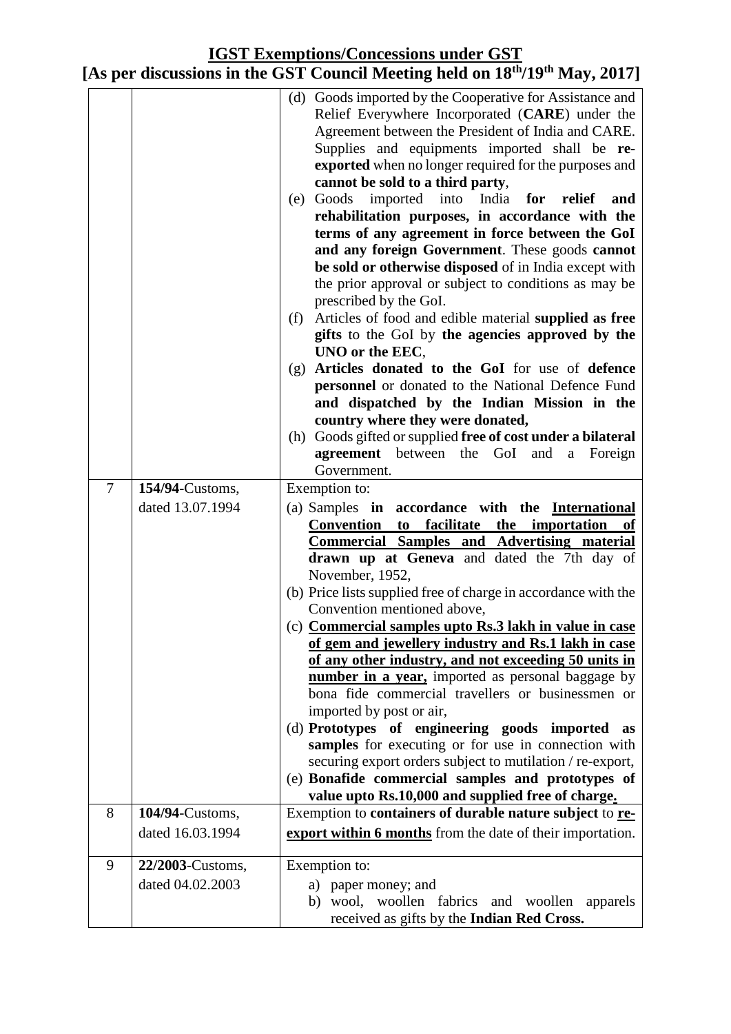|   |                                     | (d) Goods imported by the Cooperative for Assistance and<br>Relief Everywhere Incorporated (CARE) under the<br>Agreement between the President of India and CARE.<br>Supplies and equipments imported shall be re-<br>exported when no longer required for the purposes and<br>cannot be sold to a third party,<br>Goods imported into India for relief<br>(e)<br>and<br>rehabilitation purposes, in accordance with the<br>terms of any agreement in force between the GoI<br>and any foreign Government. These goods cannot<br>be sold or otherwise disposed of in India except with<br>the prior approval or subject to conditions as may be<br>prescribed by the GoI.<br>Articles of food and edible material supplied as free<br>(f)<br>gifts to the GoI by the agencies approved by the<br>UNO or the EEC,<br>Articles donated to the GoI for use of defence<br>(g)<br>personnel or donated to the National Defence Fund<br>and dispatched by the Indian Mission in the |
|---|-------------------------------------|-------------------------------------------------------------------------------------------------------------------------------------------------------------------------------------------------------------------------------------------------------------------------------------------------------------------------------------------------------------------------------------------------------------------------------------------------------------------------------------------------------------------------------------------------------------------------------------------------------------------------------------------------------------------------------------------------------------------------------------------------------------------------------------------------------------------------------------------------------------------------------------------------------------------------------------------------------------------------------|
|   |                                     | country where they were donated,                                                                                                                                                                                                                                                                                                                                                                                                                                                                                                                                                                                                                                                                                                                                                                                                                                                                                                                                              |
|   |                                     | (h) Goods gifted or supplied free of cost under a bilateral<br><b>agreement</b> between the<br>GoI<br>and<br>Foreign<br>a<br>Government.                                                                                                                                                                                                                                                                                                                                                                                                                                                                                                                                                                                                                                                                                                                                                                                                                                      |
| 7 | 154/94-Customs,                     | Exemption to:                                                                                                                                                                                                                                                                                                                                                                                                                                                                                                                                                                                                                                                                                                                                                                                                                                                                                                                                                                 |
|   | dated 13.07.1994                    | (a) Samples in accordance with the International<br>Convention<br>facilitate the importation<br>to<br>of                                                                                                                                                                                                                                                                                                                                                                                                                                                                                                                                                                                                                                                                                                                                                                                                                                                                      |
|   |                                     | <b>Commercial Samples and Advertising material</b>                                                                                                                                                                                                                                                                                                                                                                                                                                                                                                                                                                                                                                                                                                                                                                                                                                                                                                                            |
|   |                                     | drawn up at Geneva and dated the 7th day of                                                                                                                                                                                                                                                                                                                                                                                                                                                                                                                                                                                                                                                                                                                                                                                                                                                                                                                                   |
|   |                                     | November, 1952,<br>(b) Price lists supplied free of charge in accordance with the                                                                                                                                                                                                                                                                                                                                                                                                                                                                                                                                                                                                                                                                                                                                                                                                                                                                                             |
|   |                                     | Convention mentioned above,                                                                                                                                                                                                                                                                                                                                                                                                                                                                                                                                                                                                                                                                                                                                                                                                                                                                                                                                                   |
|   |                                     | (c) Commercial samples upto Rs.3 lakh in value in case<br>of gem and jewellery industry and Rs.1 lakh in case                                                                                                                                                                                                                                                                                                                                                                                                                                                                                                                                                                                                                                                                                                                                                                                                                                                                 |
|   |                                     | of any other industry, and not exceeding 50 units in                                                                                                                                                                                                                                                                                                                                                                                                                                                                                                                                                                                                                                                                                                                                                                                                                                                                                                                          |
|   |                                     | number in a year, imported as personal baggage by                                                                                                                                                                                                                                                                                                                                                                                                                                                                                                                                                                                                                                                                                                                                                                                                                                                                                                                             |
|   |                                     | bona fide commercial travellers or businessmen or                                                                                                                                                                                                                                                                                                                                                                                                                                                                                                                                                                                                                                                                                                                                                                                                                                                                                                                             |
|   |                                     | imported by post or air,                                                                                                                                                                                                                                                                                                                                                                                                                                                                                                                                                                                                                                                                                                                                                                                                                                                                                                                                                      |
|   |                                     | (d) Prototypes of engineering goods imported as                                                                                                                                                                                                                                                                                                                                                                                                                                                                                                                                                                                                                                                                                                                                                                                                                                                                                                                               |
|   |                                     | samples for executing or for use in connection with<br>securing export orders subject to mutilation / re-export,                                                                                                                                                                                                                                                                                                                                                                                                                                                                                                                                                                                                                                                                                                                                                                                                                                                              |
|   |                                     | (e) Bonafide commercial samples and prototypes of                                                                                                                                                                                                                                                                                                                                                                                                                                                                                                                                                                                                                                                                                                                                                                                                                                                                                                                             |
|   |                                     | value upto Rs.10,000 and supplied free of charge.                                                                                                                                                                                                                                                                                                                                                                                                                                                                                                                                                                                                                                                                                                                                                                                                                                                                                                                             |
| 8 | 104/94-Customs,<br>dated 16.03.1994 | Exemption to containers of durable nature subject to re-<br>export within 6 months from the date of their importation.                                                                                                                                                                                                                                                                                                                                                                                                                                                                                                                                                                                                                                                                                                                                                                                                                                                        |
| 9 | 22/2003-Customs,                    |                                                                                                                                                                                                                                                                                                                                                                                                                                                                                                                                                                                                                                                                                                                                                                                                                                                                                                                                                                               |
|   | dated 04.02.2003                    | Exemption to:<br>a) paper money; and                                                                                                                                                                                                                                                                                                                                                                                                                                                                                                                                                                                                                                                                                                                                                                                                                                                                                                                                          |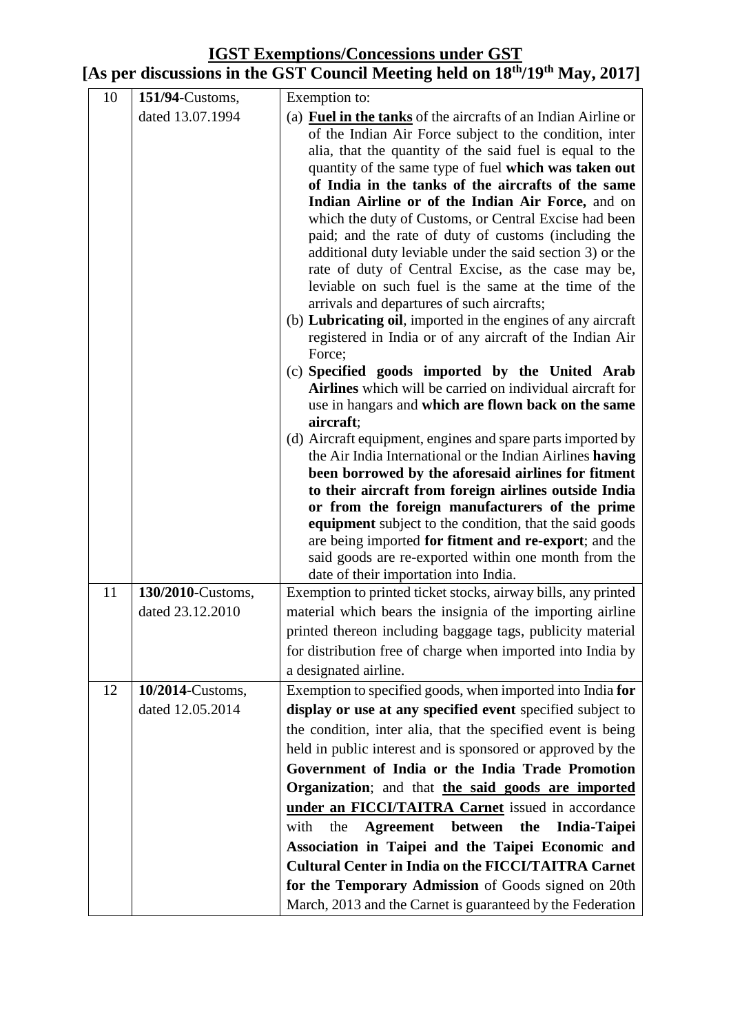| 10 | 151/94-Customs,   | Exemption to:                                                                                                     |
|----|-------------------|-------------------------------------------------------------------------------------------------------------------|
|    | dated 13.07.1994  | (a) <b>Fuel in the tanks</b> of the aircrafts of an Indian Airline or                                             |
|    |                   | of the Indian Air Force subject to the condition, inter                                                           |
|    |                   | alia, that the quantity of the said fuel is equal to the                                                          |
|    |                   | quantity of the same type of fuel which was taken out                                                             |
|    |                   | of India in the tanks of the aircrafts of the same                                                                |
|    |                   | Indian Airline or of the Indian Air Force, and on                                                                 |
|    |                   | which the duty of Customs, or Central Excise had been                                                             |
|    |                   | paid; and the rate of duty of customs (including the<br>additional duty leviable under the said section 3) or the |
|    |                   | rate of duty of Central Excise, as the case may be,                                                               |
|    |                   | leviable on such fuel is the same at the time of the                                                              |
|    |                   | arrivals and departures of such aircrafts;                                                                        |
|    |                   | (b) Lubricating oil, imported in the engines of any aircraft                                                      |
|    |                   | registered in India or of any aircraft of the Indian Air                                                          |
|    |                   | Force;                                                                                                            |
|    |                   | (c) Specified goods imported by the United Arab                                                                   |
|    |                   | Airlines which will be carried on individual aircraft for                                                         |
|    |                   | use in hangars and which are flown back on the same                                                               |
|    |                   | aircraft;<br>(d) Aircraft equipment, engines and spare parts imported by                                          |
|    |                   | the Air India International or the Indian Airlines having                                                         |
|    |                   | been borrowed by the aforesaid airlines for fitment                                                               |
|    |                   | to their aircraft from foreign airlines outside India                                                             |
|    |                   | or from the foreign manufacturers of the prime                                                                    |
|    |                   | equipment subject to the condition, that the said goods                                                           |
|    |                   | are being imported for fitment and re-export; and the                                                             |
|    |                   | said goods are re-exported within one month from the                                                              |
|    |                   | date of their importation into India.                                                                             |
| 11 | 130/2010-Customs, | Exemption to printed ticket stocks, airway bills, any printed                                                     |
|    | dated 23.12.2010  | material which bears the insignia of the importing airline                                                        |
|    |                   | printed thereon including baggage tags, publicity material                                                        |
|    |                   | for distribution free of charge when imported into India by                                                       |
|    |                   | a designated airline.                                                                                             |
| 12 | 10/2014-Customs,  | Exemption to specified goods, when imported into India for                                                        |
|    | dated 12.05.2014  | display or use at any specified event specified subject to                                                        |
|    |                   | the condition, inter alia, that the specified event is being                                                      |
|    |                   | held in public interest and is sponsored or approved by the                                                       |
|    |                   | Government of India or the India Trade Promotion                                                                  |
|    |                   | Organization; and that the said goods are imported                                                                |
|    |                   | under an FICCI/TAITRA Carnet issued in accordance                                                                 |
|    |                   | Agreement between the India-Taipei<br>with<br>the                                                                 |
|    |                   | Association in Taipei and the Taipei Economic and                                                                 |
|    |                   | <b>Cultural Center in India on the FICCI/TAITRA Carnet</b>                                                        |
|    |                   | for the Temporary Admission of Goods signed on 20th                                                               |
|    |                   | March, 2013 and the Carnet is guaranteed by the Federation                                                        |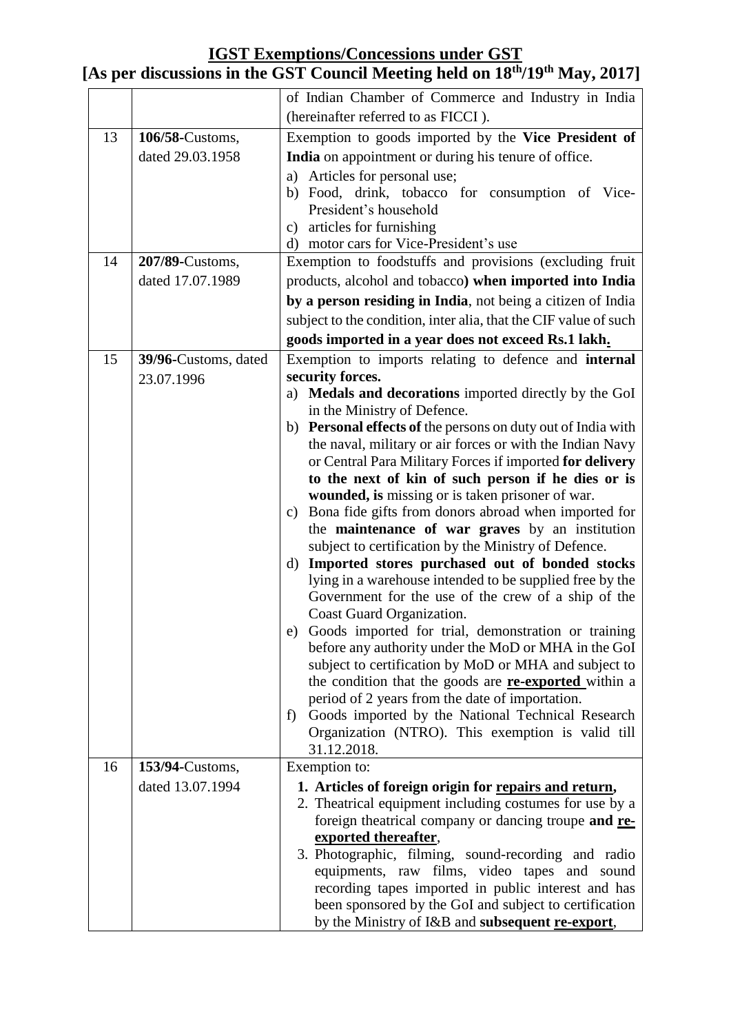| (hereinafter referred to as FICCI).                                                                                                            |
|------------------------------------------------------------------------------------------------------------------------------------------------|
|                                                                                                                                                |
| 13<br>Exemption to goods imported by the Vice President of<br>106/58-Customs,                                                                  |
| dated 29.03.1958<br>India on appointment or during his tenure of office.                                                                       |
| Articles for personal use;<br>a)<br>b) Food, drink, tobacco for consumption of Vice-<br>President's household<br>articles for furnishing<br>C) |
| d) motor cars for Vice-President's use                                                                                                         |
| Exemption to foodstuffs and provisions (excluding fruit<br>14<br>207/89-Customs,                                                               |
| dated 17.07.1989<br>products, alcohol and tobacco) when imported into India                                                                    |
| by a person residing in India, not being a citizen of India                                                                                    |
| subject to the condition, inter alia, that the CIF value of such                                                                               |
| goods imported in a year does not exceed Rs.1 lakh.                                                                                            |
| Exemption to imports relating to defence and internal<br>15<br>39/96-Customs, dated                                                            |
| security forces.<br>23.07.1996                                                                                                                 |
| a) Medals and decorations imported directly by the GoI                                                                                         |
| in the Ministry of Defence.                                                                                                                    |
| b) Personal effects of the persons on duty out of India with                                                                                   |
| the naval, military or air forces or with the Indian Navy                                                                                      |
| or Central Para Military Forces if imported for delivery                                                                                       |
| to the next of kin of such person if he dies or is<br>wounded, is missing or is taken prisoner of war.                                         |
| c) Bona fide gifts from donors abroad when imported for                                                                                        |
| the maintenance of war graves by an institution<br>subject to certification by the Ministry of Defence.                                        |
| Imported stores purchased out of bonded stocks<br>d)                                                                                           |
| lying in a warehouse intended to be supplied free by the                                                                                       |
| Government for the use of the crew of a ship of the                                                                                            |
| Coast Guard Organization.                                                                                                                      |
| e) Goods imported for trial, demonstration or training                                                                                         |
| before any authority under the MoD or MHA in the GoI                                                                                           |
| subject to certification by MoD or MHA and subject to                                                                                          |
| the condition that the goods are <b>re-exported</b> within a<br>period of 2 years from the date of importation.                                |
| Goods imported by the National Technical Research<br>f)                                                                                        |
| Organization (NTRO). This exemption is valid till                                                                                              |
| 31.12.2018.                                                                                                                                    |
| 16<br>153/94-Customs,<br>Exemption to:                                                                                                         |
| dated 13.07.1994<br>1. Articles of foreign origin for repairs and return,                                                                      |
| 2. Theatrical equipment including costumes for use by a                                                                                        |
| foreign theatrical company or dancing troupe and re-                                                                                           |
| exported thereafter,                                                                                                                           |
| 3. Photographic, filming, sound-recording and radio                                                                                            |
| equipments, raw films, video tapes and sound                                                                                                   |
| recording tapes imported in public interest and has<br>been sponsored by the GoI and subject to certification                                  |
| by the Ministry of I&B and subsequent re-export,                                                                                               |

#### **[As per discussions in the GST Council Meeting held on 18th/19th May, 2017]**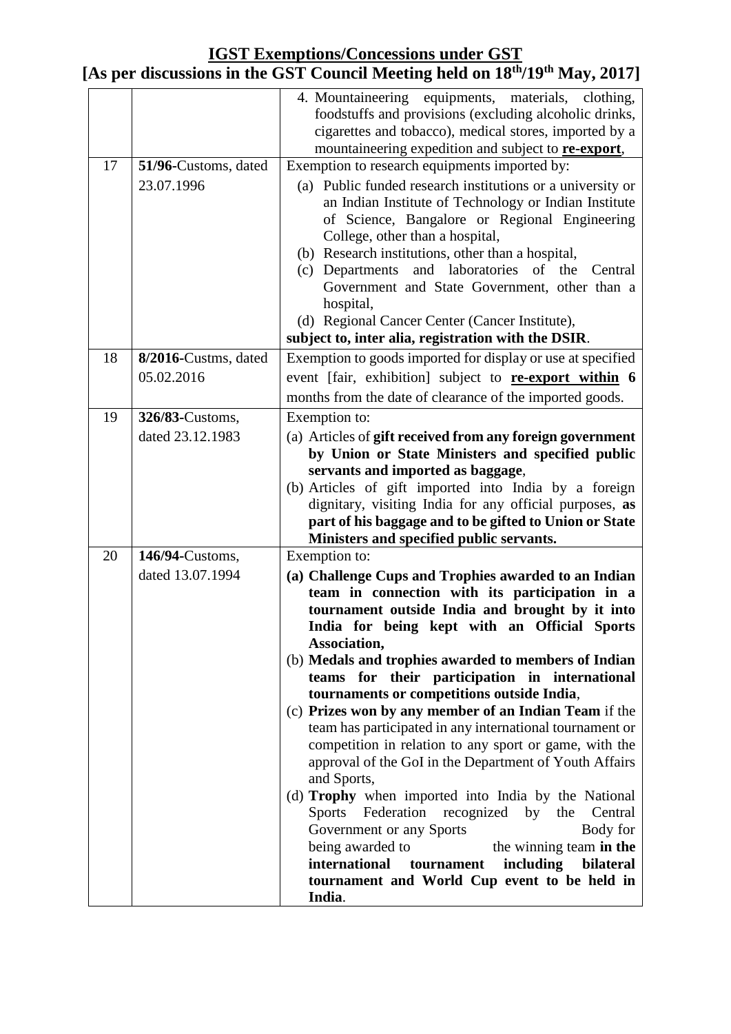|  | [As per discussions in the GST Council Meeting held on 18 <sup>th</sup> /19 <sup>th</sup> May, 2017] |  |  |  |  |  |
|--|------------------------------------------------------------------------------------------------------|--|--|--|--|--|
|--|------------------------------------------------------------------------------------------------------|--|--|--|--|--|

|    |                                     | 4. Mountaineering equipments, materials, clothing,<br>foodstuffs and provisions (excluding alcoholic drinks,<br>cigarettes and tobacco), medical stores, imported by a<br>mountaineering expedition and subject to <b>re-export</b> ,                                                                                                                                                                                                                                                                                                                                                                                                                                                                                                                                                                                                                                                                                                                                               |
|----|-------------------------------------|-------------------------------------------------------------------------------------------------------------------------------------------------------------------------------------------------------------------------------------------------------------------------------------------------------------------------------------------------------------------------------------------------------------------------------------------------------------------------------------------------------------------------------------------------------------------------------------------------------------------------------------------------------------------------------------------------------------------------------------------------------------------------------------------------------------------------------------------------------------------------------------------------------------------------------------------------------------------------------------|
| 17 | 51/96-Customs, dated<br>23.07.1996  | Exemption to research equipments imported by:<br>(a) Public funded research institutions or a university or<br>an Indian Institute of Technology or Indian Institute<br>of Science, Bangalore or Regional Engineering<br>College, other than a hospital,<br>(b) Research institutions, other than a hospital,<br>(c) Departments and laboratories of<br>the<br>Central<br>Government and State Government, other than a<br>hospital,<br>(d) Regional Cancer Center (Cancer Institute),<br>subject to, inter alia, registration with the DSIR.                                                                                                                                                                                                                                                                                                                                                                                                                                       |
| 18 | 8/2016-Custms, dated<br>05.02.2016  | Exemption to goods imported for display or use at specified<br>event [fair, exhibition] subject to re-export within 6                                                                                                                                                                                                                                                                                                                                                                                                                                                                                                                                                                                                                                                                                                                                                                                                                                                               |
| 19 | 326/83-Customs.<br>dated 23.12.1983 | months from the date of clearance of the imported goods.<br>Exemption to:<br>(a) Articles of gift received from any foreign government<br>by Union or State Ministers and specified public<br>servants and imported as baggage,<br>(b) Articles of gift imported into India by a foreign<br>dignitary, visiting India for any official purposes, as<br>part of his baggage and to be gifted to Union or State<br>Ministers and specified public servants.                                                                                                                                                                                                                                                                                                                                                                                                                                                                                                                           |
| 20 | 146/94-Customs,<br>dated 13.07.1994 | Exemption to:<br>(a) Challenge Cups and Trophies awarded to an Indian<br>team in connection with its participation in a<br>tournament outside India and brought by it into<br>India for being kept with an Official Sports<br>Association,<br>(b) Medals and trophies awarded to members of Indian<br>teams for their participation in international<br>tournaments or competitions outside India,<br>(c) Prizes won by any member of an Indian Team if the<br>team has participated in any international tournament or<br>competition in relation to any sport or game, with the<br>approval of the GoI in the Department of Youth Affairs<br>and Sports,<br>(d) Trophy when imported into India by the National<br>Federation recognized by<br>Sports<br>the<br>Central<br>Government or any Sports<br>Body for<br>being awarded to<br>the winning team in the<br>international<br>including<br>bilateral<br>tournament<br>tournament and World Cup event to be held in<br>India. |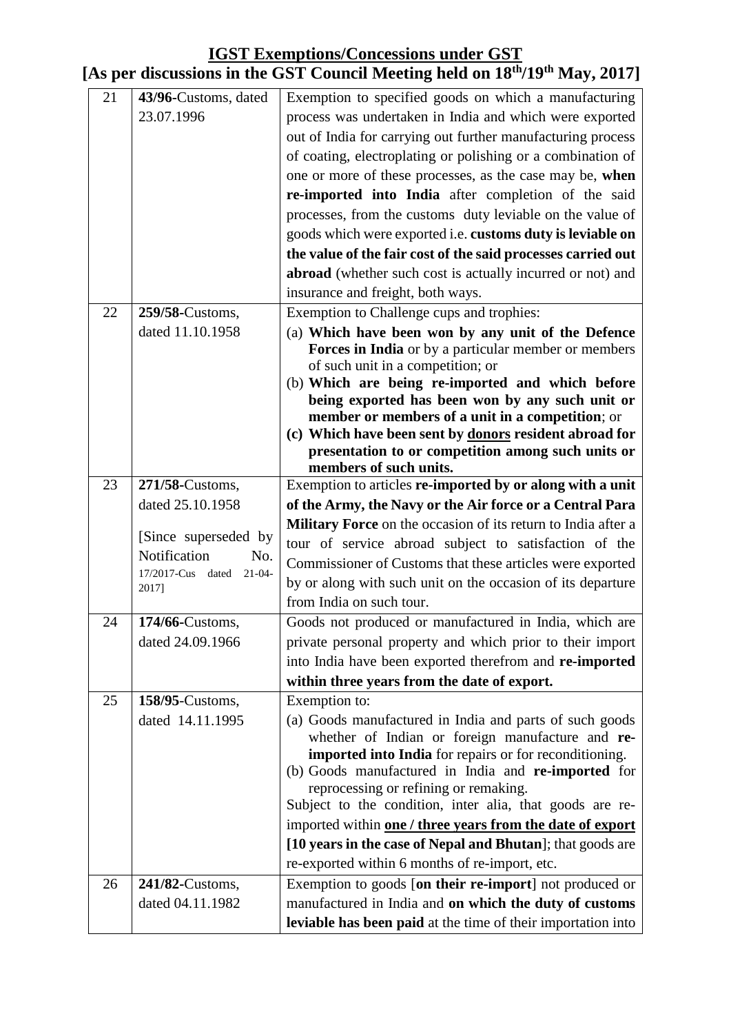#### **[As per discussions in the GST Council Meeting held on 18th/19th May, 2017]**

| 23.07.1996<br>process was undertaken in India and which were exported<br>out of India for carrying out further manufacturing process<br>of coating, electroplating or polishing or a combination of<br>one or more of these processes, as the case may be, when<br>re-imported into India after completion of the said<br>processes, from the customs duty leviable on the value of<br>goods which were exported i.e. customs duty is leviable on<br>the value of the fair cost of the said processes carried out<br>abroad (whether such cost is actually incurred or not) and<br>insurance and freight, both ways.<br>Exemption to Challenge cups and trophies:<br>22<br>259/58-Customs,<br>(a) Which have been won by any unit of the Defence<br>dated 11.10.1958<br>Forces in India or by a particular member or members<br>of such unit in a competition; or<br>(b) Which are being re-imported and which before<br>being exported has been won by any such unit or<br>member or members of a unit in a competition; or<br>(c) Which have been sent by donors resident abroad for<br>presentation to or competition among such units or<br>members of such units.<br>Exemption to articles re-imported by or along with a unit<br>23<br>271/58-Customs,<br>dated 25.10.1958<br>of the Army, the Navy or the Air force or a Central Para<br><b>Military Force</b> on the occasion of its return to India after a<br>[Since superseded by<br>tour of service abroad subject to satisfaction of the<br>Notification<br>No.<br>Commissioner of Customs that these articles were exported<br>17/2017-Cus dated 21-04- |
|-----------------------------------------------------------------------------------------------------------------------------------------------------------------------------------------------------------------------------------------------------------------------------------------------------------------------------------------------------------------------------------------------------------------------------------------------------------------------------------------------------------------------------------------------------------------------------------------------------------------------------------------------------------------------------------------------------------------------------------------------------------------------------------------------------------------------------------------------------------------------------------------------------------------------------------------------------------------------------------------------------------------------------------------------------------------------------------------------------------------------------------------------------------------------------------------------------------------------------------------------------------------------------------------------------------------------------------------------------------------------------------------------------------------------------------------------------------------------------------------------------------------------------------------------------------------------------------------------------------------------|
|                                                                                                                                                                                                                                                                                                                                                                                                                                                                                                                                                                                                                                                                                                                                                                                                                                                                                                                                                                                                                                                                                                                                                                                                                                                                                                                                                                                                                                                                                                                                                                                                                       |
|                                                                                                                                                                                                                                                                                                                                                                                                                                                                                                                                                                                                                                                                                                                                                                                                                                                                                                                                                                                                                                                                                                                                                                                                                                                                                                                                                                                                                                                                                                                                                                                                                       |
|                                                                                                                                                                                                                                                                                                                                                                                                                                                                                                                                                                                                                                                                                                                                                                                                                                                                                                                                                                                                                                                                                                                                                                                                                                                                                                                                                                                                                                                                                                                                                                                                                       |
|                                                                                                                                                                                                                                                                                                                                                                                                                                                                                                                                                                                                                                                                                                                                                                                                                                                                                                                                                                                                                                                                                                                                                                                                                                                                                                                                                                                                                                                                                                                                                                                                                       |
|                                                                                                                                                                                                                                                                                                                                                                                                                                                                                                                                                                                                                                                                                                                                                                                                                                                                                                                                                                                                                                                                                                                                                                                                                                                                                                                                                                                                                                                                                                                                                                                                                       |
|                                                                                                                                                                                                                                                                                                                                                                                                                                                                                                                                                                                                                                                                                                                                                                                                                                                                                                                                                                                                                                                                                                                                                                                                                                                                                                                                                                                                                                                                                                                                                                                                                       |
|                                                                                                                                                                                                                                                                                                                                                                                                                                                                                                                                                                                                                                                                                                                                                                                                                                                                                                                                                                                                                                                                                                                                                                                                                                                                                                                                                                                                                                                                                                                                                                                                                       |
|                                                                                                                                                                                                                                                                                                                                                                                                                                                                                                                                                                                                                                                                                                                                                                                                                                                                                                                                                                                                                                                                                                                                                                                                                                                                                                                                                                                                                                                                                                                                                                                                                       |
|                                                                                                                                                                                                                                                                                                                                                                                                                                                                                                                                                                                                                                                                                                                                                                                                                                                                                                                                                                                                                                                                                                                                                                                                                                                                                                                                                                                                                                                                                                                                                                                                                       |
|                                                                                                                                                                                                                                                                                                                                                                                                                                                                                                                                                                                                                                                                                                                                                                                                                                                                                                                                                                                                                                                                                                                                                                                                                                                                                                                                                                                                                                                                                                                                                                                                                       |
|                                                                                                                                                                                                                                                                                                                                                                                                                                                                                                                                                                                                                                                                                                                                                                                                                                                                                                                                                                                                                                                                                                                                                                                                                                                                                                                                                                                                                                                                                                                                                                                                                       |
|                                                                                                                                                                                                                                                                                                                                                                                                                                                                                                                                                                                                                                                                                                                                                                                                                                                                                                                                                                                                                                                                                                                                                                                                                                                                                                                                                                                                                                                                                                                                                                                                                       |
|                                                                                                                                                                                                                                                                                                                                                                                                                                                                                                                                                                                                                                                                                                                                                                                                                                                                                                                                                                                                                                                                                                                                                                                                                                                                                                                                                                                                                                                                                                                                                                                                                       |
|                                                                                                                                                                                                                                                                                                                                                                                                                                                                                                                                                                                                                                                                                                                                                                                                                                                                                                                                                                                                                                                                                                                                                                                                                                                                                                                                                                                                                                                                                                                                                                                                                       |
|                                                                                                                                                                                                                                                                                                                                                                                                                                                                                                                                                                                                                                                                                                                                                                                                                                                                                                                                                                                                                                                                                                                                                                                                                                                                                                                                                                                                                                                                                                                                                                                                                       |
|                                                                                                                                                                                                                                                                                                                                                                                                                                                                                                                                                                                                                                                                                                                                                                                                                                                                                                                                                                                                                                                                                                                                                                                                                                                                                                                                                                                                                                                                                                                                                                                                                       |
|                                                                                                                                                                                                                                                                                                                                                                                                                                                                                                                                                                                                                                                                                                                                                                                                                                                                                                                                                                                                                                                                                                                                                                                                                                                                                                                                                                                                                                                                                                                                                                                                                       |
|                                                                                                                                                                                                                                                                                                                                                                                                                                                                                                                                                                                                                                                                                                                                                                                                                                                                                                                                                                                                                                                                                                                                                                                                                                                                                                                                                                                                                                                                                                                                                                                                                       |
|                                                                                                                                                                                                                                                                                                                                                                                                                                                                                                                                                                                                                                                                                                                                                                                                                                                                                                                                                                                                                                                                                                                                                                                                                                                                                                                                                                                                                                                                                                                                                                                                                       |
|                                                                                                                                                                                                                                                                                                                                                                                                                                                                                                                                                                                                                                                                                                                                                                                                                                                                                                                                                                                                                                                                                                                                                                                                                                                                                                                                                                                                                                                                                                                                                                                                                       |
|                                                                                                                                                                                                                                                                                                                                                                                                                                                                                                                                                                                                                                                                                                                                                                                                                                                                                                                                                                                                                                                                                                                                                                                                                                                                                                                                                                                                                                                                                                                                                                                                                       |
|                                                                                                                                                                                                                                                                                                                                                                                                                                                                                                                                                                                                                                                                                                                                                                                                                                                                                                                                                                                                                                                                                                                                                                                                                                                                                                                                                                                                                                                                                                                                                                                                                       |
|                                                                                                                                                                                                                                                                                                                                                                                                                                                                                                                                                                                                                                                                                                                                                                                                                                                                                                                                                                                                                                                                                                                                                                                                                                                                                                                                                                                                                                                                                                                                                                                                                       |
|                                                                                                                                                                                                                                                                                                                                                                                                                                                                                                                                                                                                                                                                                                                                                                                                                                                                                                                                                                                                                                                                                                                                                                                                                                                                                                                                                                                                                                                                                                                                                                                                                       |
| by or along with such unit on the occasion of its departure<br>2017]                                                                                                                                                                                                                                                                                                                                                                                                                                                                                                                                                                                                                                                                                                                                                                                                                                                                                                                                                                                                                                                                                                                                                                                                                                                                                                                                                                                                                                                                                                                                                  |
| from India on such tour.                                                                                                                                                                                                                                                                                                                                                                                                                                                                                                                                                                                                                                                                                                                                                                                                                                                                                                                                                                                                                                                                                                                                                                                                                                                                                                                                                                                                                                                                                                                                                                                              |
| 24<br>174/66-Customs,<br>Goods not produced or manufactured in India, which are                                                                                                                                                                                                                                                                                                                                                                                                                                                                                                                                                                                                                                                                                                                                                                                                                                                                                                                                                                                                                                                                                                                                                                                                                                                                                                                                                                                                                                                                                                                                       |
| dated 24.09.1966<br>private personal property and which prior to their import                                                                                                                                                                                                                                                                                                                                                                                                                                                                                                                                                                                                                                                                                                                                                                                                                                                                                                                                                                                                                                                                                                                                                                                                                                                                                                                                                                                                                                                                                                                                         |
| into India have been exported therefrom and re-imported                                                                                                                                                                                                                                                                                                                                                                                                                                                                                                                                                                                                                                                                                                                                                                                                                                                                                                                                                                                                                                                                                                                                                                                                                                                                                                                                                                                                                                                                                                                                                               |
| within three years from the date of export.                                                                                                                                                                                                                                                                                                                                                                                                                                                                                                                                                                                                                                                                                                                                                                                                                                                                                                                                                                                                                                                                                                                                                                                                                                                                                                                                                                                                                                                                                                                                                                           |
| 25<br>158/95-Customs,<br>Exemption to:                                                                                                                                                                                                                                                                                                                                                                                                                                                                                                                                                                                                                                                                                                                                                                                                                                                                                                                                                                                                                                                                                                                                                                                                                                                                                                                                                                                                                                                                                                                                                                                |
| dated 14.11.1995<br>(a) Goods manufactured in India and parts of such goods                                                                                                                                                                                                                                                                                                                                                                                                                                                                                                                                                                                                                                                                                                                                                                                                                                                                                                                                                                                                                                                                                                                                                                                                                                                                                                                                                                                                                                                                                                                                           |
| whether of Indian or foreign manufacture and re-                                                                                                                                                                                                                                                                                                                                                                                                                                                                                                                                                                                                                                                                                                                                                                                                                                                                                                                                                                                                                                                                                                                                                                                                                                                                                                                                                                                                                                                                                                                                                                      |
| imported into India for repairs or for reconditioning.                                                                                                                                                                                                                                                                                                                                                                                                                                                                                                                                                                                                                                                                                                                                                                                                                                                                                                                                                                                                                                                                                                                                                                                                                                                                                                                                                                                                                                                                                                                                                                |
| (b) Goods manufactured in India and re-imported for<br>reprocessing or refining or remaking.                                                                                                                                                                                                                                                                                                                                                                                                                                                                                                                                                                                                                                                                                                                                                                                                                                                                                                                                                                                                                                                                                                                                                                                                                                                                                                                                                                                                                                                                                                                          |
| Subject to the condition, inter alia, that goods are re-                                                                                                                                                                                                                                                                                                                                                                                                                                                                                                                                                                                                                                                                                                                                                                                                                                                                                                                                                                                                                                                                                                                                                                                                                                                                                                                                                                                                                                                                                                                                                              |
| imported within one / three years from the date of export                                                                                                                                                                                                                                                                                                                                                                                                                                                                                                                                                                                                                                                                                                                                                                                                                                                                                                                                                                                                                                                                                                                                                                                                                                                                                                                                                                                                                                                                                                                                                             |
| [10 years in the case of Nepal and Bhutan]; that goods are                                                                                                                                                                                                                                                                                                                                                                                                                                                                                                                                                                                                                                                                                                                                                                                                                                                                                                                                                                                                                                                                                                                                                                                                                                                                                                                                                                                                                                                                                                                                                            |
|                                                                                                                                                                                                                                                                                                                                                                                                                                                                                                                                                                                                                                                                                                                                                                                                                                                                                                                                                                                                                                                                                                                                                                                                                                                                                                                                                                                                                                                                                                                                                                                                                       |
|                                                                                                                                                                                                                                                                                                                                                                                                                                                                                                                                                                                                                                                                                                                                                                                                                                                                                                                                                                                                                                                                                                                                                                                                                                                                                                                                                                                                                                                                                                                                                                                                                       |
| re-exported within 6 months of re-import, etc.                                                                                                                                                                                                                                                                                                                                                                                                                                                                                                                                                                                                                                                                                                                                                                                                                                                                                                                                                                                                                                                                                                                                                                                                                                                                                                                                                                                                                                                                                                                                                                        |
| 26<br>Exemption to goods [on their re-import] not produced or<br>241/82-Customs,<br>dated 04.11.1982<br>manufactured in India and on which the duty of customs                                                                                                                                                                                                                                                                                                                                                                                                                                                                                                                                                                                                                                                                                                                                                                                                                                                                                                                                                                                                                                                                                                                                                                                                                                                                                                                                                                                                                                                        |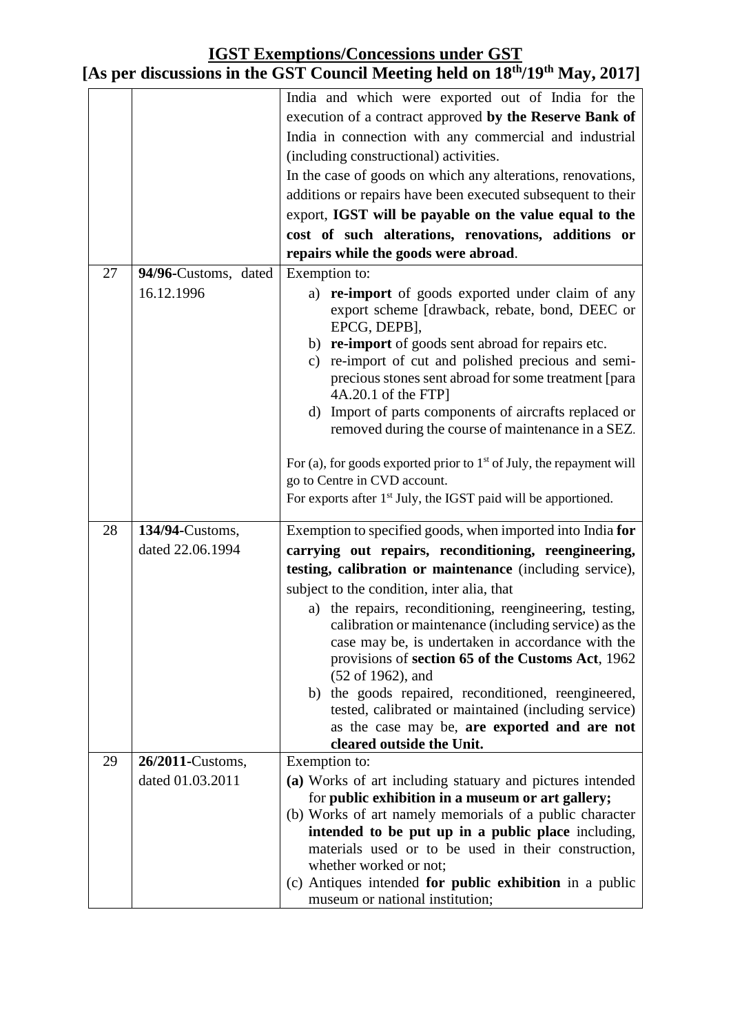|    |                      | India and which were exported out of India for the                                                          |
|----|----------------------|-------------------------------------------------------------------------------------------------------------|
|    |                      | execution of a contract approved by the Reserve Bank of                                                     |
|    |                      | India in connection with any commercial and industrial                                                      |
|    |                      | (including constructional) activities.                                                                      |
|    |                      | In the case of goods on which any alterations, renovations,                                                 |
|    |                      | additions or repairs have been executed subsequent to their                                                 |
|    |                      | export, IGST will be payable on the value equal to the                                                      |
|    |                      | cost of such alterations, renovations, additions or                                                         |
|    |                      | repairs while the goods were abroad.                                                                        |
| 27 | 94/96-Customs, dated | Exemption to:                                                                                               |
|    | 16.12.1996           | a) re-import of goods exported under claim of any                                                           |
|    |                      | export scheme [drawback, rebate, bond, DEEC or                                                              |
|    |                      | EPCG, DEPB],                                                                                                |
|    |                      | b) re-import of goods sent abroad for repairs etc.                                                          |
|    |                      | c) re-import of cut and polished precious and semi-<br>precious stones sent abroad for some treatment [para |
|    |                      | 4A.20.1 of the FTP]                                                                                         |
|    |                      | d) Import of parts components of aircrafts replaced or                                                      |
|    |                      | removed during the course of maintenance in a SEZ.                                                          |
|    |                      | For (a), for goods exported prior to $1st$ of July, the repayment will                                      |
|    |                      | go to Centre in CVD account.                                                                                |
|    |                      | For exports after $1st$ July, the IGST paid will be apportioned.                                            |
| 28 | 134/94-Customs,      | Exemption to specified goods, when imported into India for                                                  |
|    | dated 22.06.1994     |                                                                                                             |
|    |                      | carrying out repairs, reconditioning, reengineering,                                                        |
|    |                      | testing, calibration or maintenance (including service),                                                    |
|    |                      | subject to the condition, inter alia, that                                                                  |
|    |                      | a) the repairs, reconditioning, reengineering, testing,                                                     |
|    |                      | calibration or maintenance (including service) as the<br>case may be, is undertaken in accordance with the  |
|    |                      | provisions of section 65 of the Customs Act, 1962                                                           |
|    |                      | (52 of 1962), and                                                                                           |
|    |                      | the goods repaired, reconditioned, reengineered,<br>b)                                                      |
|    |                      | tested, calibrated or maintained (including service)                                                        |
|    |                      | as the case may be, are exported and are not                                                                |
|    |                      | cleared outside the Unit.                                                                                   |
| 29 | 26/2011-Customs,     | Exemption to:                                                                                               |
|    | dated 01.03.2011     | (a) Works of art including statuary and pictures intended                                                   |
|    |                      | for public exhibition in a museum or art gallery;                                                           |
|    |                      | (b) Works of art namely memorials of a public character                                                     |
|    |                      | intended to be put up in a public place including,                                                          |
|    |                      | materials used or to be used in their construction,<br>whether worked or not;                               |
|    |                      | (c) Antiques intended for public exhibition in a public                                                     |
|    |                      | museum or national institution;                                                                             |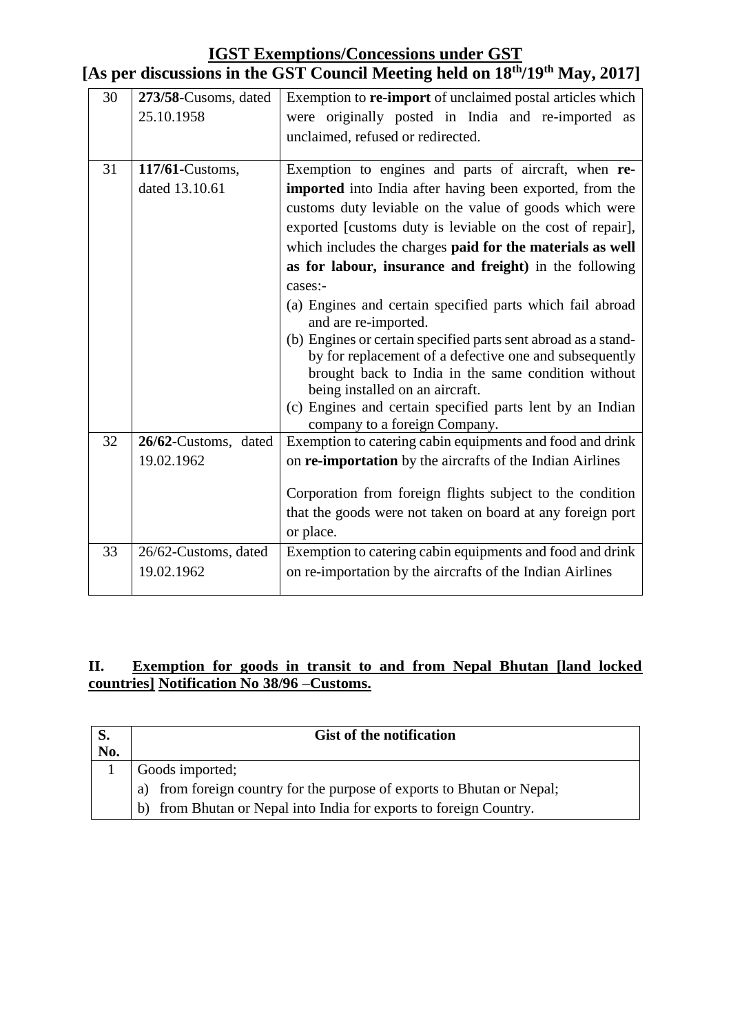| 30 | 273/58-Cusoms, dated<br>25.10.1958 | Exemption to re-import of unclaimed postal articles which<br>were originally posted in India and re-imported as<br>unclaimed, refused or redirected. |
|----|------------------------------------|------------------------------------------------------------------------------------------------------------------------------------------------------|
| 31 | 117/61-Customs,                    | Exemption to engines and parts of aircraft, when re-                                                                                                 |
|    | dated 13.10.61                     | imported into India after having been exported, from the                                                                                             |
|    |                                    | customs duty leviable on the value of goods which were                                                                                               |
|    |                                    | exported [customs duty is leviable on the cost of repair],                                                                                           |
|    |                                    | which includes the charges paid for the materials as well                                                                                            |
|    |                                    | as for labour, insurance and freight) in the following                                                                                               |
|    |                                    | cases:-                                                                                                                                              |
|    |                                    | (a) Engines and certain specified parts which fail abroad<br>and are re-imported.                                                                    |
|    |                                    | (b) Engines or certain specified parts sent abroad as a stand-                                                                                       |
|    |                                    | by for replacement of a defective one and subsequently                                                                                               |
|    |                                    | brought back to India in the same condition without<br>being installed on an aircraft.                                                               |
|    |                                    | (c) Engines and certain specified parts lent by an Indian                                                                                            |
|    |                                    | company to a foreign Company.                                                                                                                        |
| 32 | 26/62-Customs, dated               | Exemption to catering cabin equipments and food and drink                                                                                            |
|    | 19.02.1962                         | on <b>re-importation</b> by the aircrafts of the Indian Airlines                                                                                     |
|    |                                    |                                                                                                                                                      |
|    |                                    | Corporation from foreign flights subject to the condition                                                                                            |
|    |                                    | that the goods were not taken on board at any foreign port                                                                                           |
|    |                                    | or place.                                                                                                                                            |
| 33 | 26/62-Customs, dated               | Exemption to catering cabin equipments and food and drink                                                                                            |
|    | 19.02.1962                         | on re-importation by the aircrafts of the Indian Airlines                                                                                            |
|    |                                    |                                                                                                                                                      |

# **[As per discussions in the GST Council Meeting held on 18th/19th May, 2017]**

#### **II. Exemption for goods in transit to and from Nepal Bhutan [land locked countries] Notification No 38/96 –Customs.**

| S.  | <b>Gist of the notification</b>                                        |  |  |
|-----|------------------------------------------------------------------------|--|--|
| No. |                                                                        |  |  |
|     | Goods imported;                                                        |  |  |
|     | a) from foreign country for the purpose of exports to Bhutan or Nepal; |  |  |
|     | from Bhutan or Nepal into India for exports to foreign Country.<br>h)  |  |  |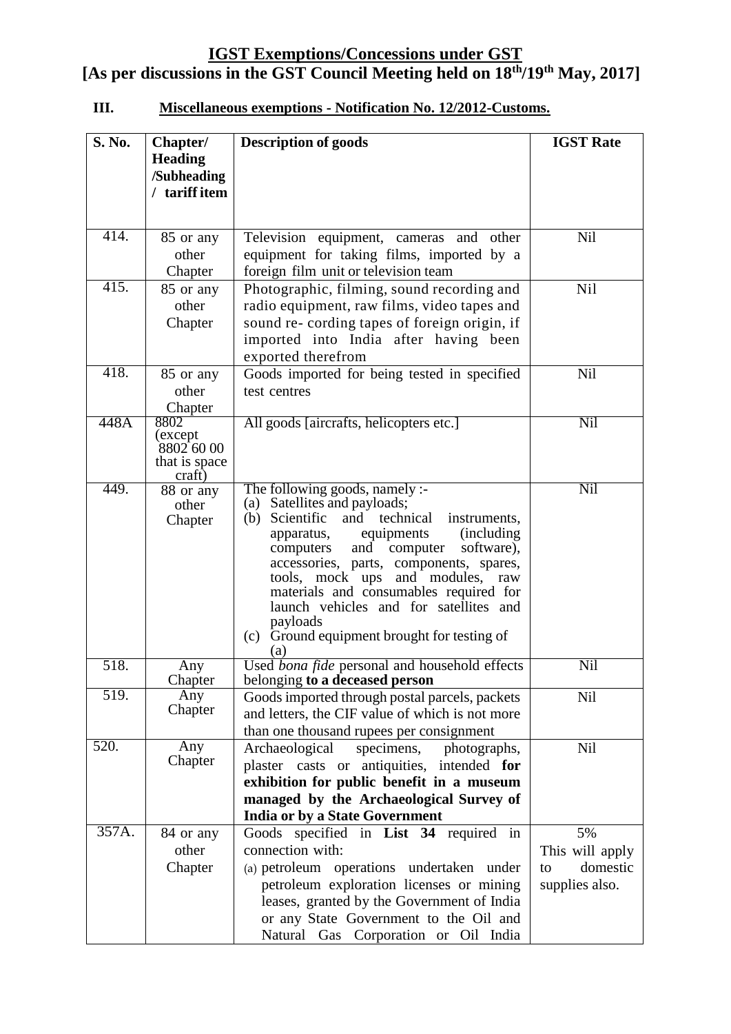## **III. Miscellaneous exemptions - Notification No. 12/2012-Customs.**

| <b>S. No.</b> | Chapter/           | <b>Description of goods</b>                                                          | <b>IGST Rate</b> |
|---------------|--------------------|--------------------------------------------------------------------------------------|------------------|
|               | <b>Heading</b>     |                                                                                      |                  |
|               | /Subheading        |                                                                                      |                  |
|               | / tariff item      |                                                                                      |                  |
|               |                    |                                                                                      |                  |
| 414.          | 85 or any          | Television equipment, cameras<br>and other                                           | <b>Nil</b>       |
|               | other              | equipment for taking films, imported by a                                            |                  |
|               | Chapter            | foreign film unit or television team                                                 |                  |
| 415.          | 85 or any          | Photographic, filming, sound recording and                                           | <b>Nil</b>       |
|               | other              | radio equipment, raw films, video tapes and                                          |                  |
|               | Chapter            | sound re- cording tapes of foreign origin, if                                        |                  |
|               |                    | imported into India after having been                                                |                  |
|               |                    | exported therefrom                                                                   |                  |
| 418.          | 85 or any          | Goods imported for being tested in specified                                         | <b>Nil</b>       |
|               | other              | test centres                                                                         |                  |
|               | Chapter            |                                                                                      |                  |
| 448A          | 8802<br>(except    | All goods [aircrafts, helicopters etc.]                                              | Nil              |
|               | 8802600            |                                                                                      |                  |
|               | that is space      |                                                                                      |                  |
| 449.          | craft)             |                                                                                      | Nil              |
|               | 88 or any<br>other | The following goods, namely :-<br>(a) Satellites and payloads;                       |                  |
|               | Chapter            | and technical<br>Scientific<br>(b)<br>instruments,                                   |                  |
|               |                    | (including<br>equipments<br>apparatus,                                               |                  |
|               |                    | and computer<br>software),<br>computers                                              |                  |
|               |                    | accessories, parts, components, spares,                                              |                  |
|               |                    | tools, mock ups<br>and modules,<br>raw<br>materials and consumables required for     |                  |
|               |                    | launch vehicles and for satellites and                                               |                  |
|               |                    | payloads                                                                             |                  |
|               |                    | Ground equipment brought for testing of<br>(c)                                       |                  |
|               |                    | (a)                                                                                  |                  |
| 518.          | Any<br>Chapter     | Used bona fide personal and household effects<br>belonging to a deceased person      | Nil              |
| 519.          | Any                | Goods imported through postal parcels, packets                                       | <b>Nil</b>       |
|               | Chapter            | and letters, the CIF value of which is not more                                      |                  |
|               |                    | than one thousand rupees per consignment                                             |                  |
| 520.          | Any                | specimens,<br>photographs,<br>Archaeological                                         | Nil              |
|               | Chapter            | plaster casts or antiquities, intended for                                           |                  |
|               |                    | exhibition for public benefit in a museum                                            |                  |
|               |                    | managed by the Archaeological Survey of                                              |                  |
|               |                    | <b>India or by a State Government</b>                                                |                  |
| 357A.         | 84 or any          | Goods specified in List 34 required in                                               | 5%               |
|               | other              | connection with:                                                                     | This will apply  |
|               | Chapter            | (a) petroleum operations undertaken under                                            | domestic<br>to   |
|               |                    | petroleum exploration licenses or mining                                             | supplies also.   |
|               |                    | leases, granted by the Government of India<br>or any State Government to the Oil and |                  |
|               |                    | Natural Gas Corporation or Oil India                                                 |                  |
|               |                    |                                                                                      |                  |